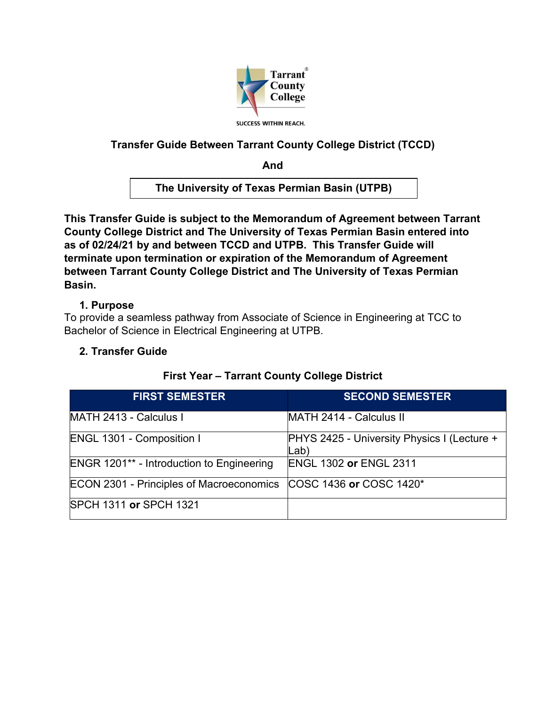

# **Transfer Guide Between Tarrant County College District (TCCD)**

**And**

**The University of Texas Permian Basin (UTPB)**

**This Transfer Guide is subject to the Memorandum of Agreement between Tarrant County College District and The University of Texas Permian Basin entered into as of 02/24/21 by and between TCCD and UTPB. This Transfer Guide will terminate upon termination or expiration of the Memorandum of Agreement between Tarrant County College District and The University of Texas Permian Basin.** 

### **1. Purpose**

To provide a seamless pathway from Associate of Science in Engineering at TCC to Bachelor of Science in Electrical Engineering at UTPB.

### **2. Transfer Guide**

| <b>FIRST SEMESTER</b>                            | <b>SECOND SEMESTER</b>                              |
|--------------------------------------------------|-----------------------------------------------------|
| MATH 2413 - Calculus I                           | MATH 2414 - Calculus II                             |
| <b>ENGL 1301 - Composition I</b>                 | PHYS 2425 - University Physics I (Lecture +<br>Lab) |
| <b>ENGR 1201** - Introduction to Engineering</b> | <b>ENGL 1302 or ENGL 2311</b>                       |
| <b>ECON 2301 - Principles of Macroeconomics</b>  | <b>COSC 1436 or COSC 1420*</b>                      |
| <b>SPCH 1311 or SPCH 1321</b>                    |                                                     |

### **First Year – Tarrant County College District**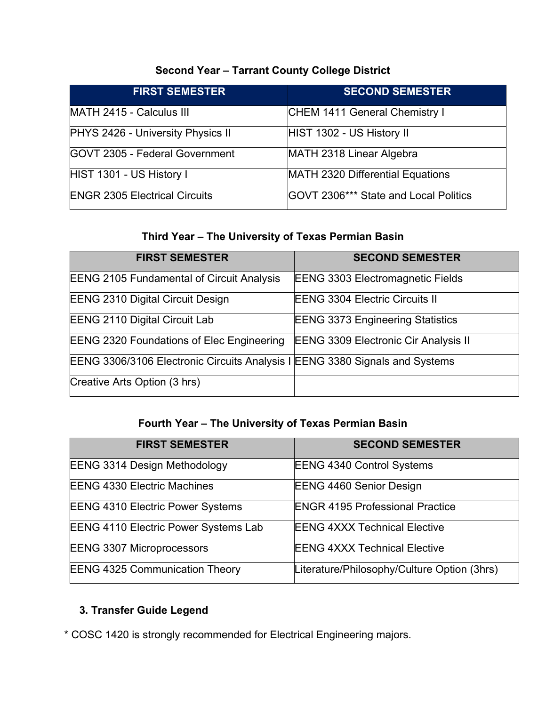# **Second Year – Tarrant County College District**

| <b>FIRST SEMESTER</b>                 | <b>SECOND SEMESTER</b>                       |
|---------------------------------------|----------------------------------------------|
| MATH 2415 - Calculus III              | CHEM 1411 General Chemistry I                |
| PHYS 2426 - University Physics II     | HIST 1302 - US History II                    |
| <b>GOVT 2305 - Federal Government</b> | MATH 2318 Linear Algebra                     |
| HIST 1301 - US History I              | MATH 2320 Differential Equations             |
| <b>ENGR 2305 Electrical Circuits</b>  | <b>GOVT 2306*** State and Local Politics</b> |

### **Third Year – The University of Texas Permian Basin**

| <b>FIRST SEMESTER</b>                                                       | <b>SECOND SEMESTER</b>                      |
|-----------------------------------------------------------------------------|---------------------------------------------|
| <b>EENG 2105 Fundamental of Circuit Analysis</b>                            | <b>EENG 3303 Electromagnetic Fields</b>     |
| <b>EENG 2310 Digital Circuit Design</b>                                     | <b>EENG 3304 Electric Circuits II</b>       |
| <b>EENG 2110 Digital Circuit Lab</b>                                        | <b>EENG 3373 Engineering Statistics</b>     |
| <b>EENG 2320 Foundations of Elec Engineering</b>                            | <b>EENG 3309 Electronic Cir Analysis II</b> |
| EENG 3306/3106 Electronic Circuits Analysis I EENG 3380 Signals and Systems |                                             |
| Creative Arts Option (3 hrs)                                                |                                             |

# **Fourth Year – The University of Texas Permian Basin**

| <b>FIRST SEMESTER</b>                       | <b>SECOND SEMESTER</b>                      |
|---------------------------------------------|---------------------------------------------|
| <b>EENG 3314 Design Methodology</b>         | <b>EENG 4340 Control Systems</b>            |
| <b>EENG 4330 Electric Machines</b>          | <b>EENG 4460 Senior Design</b>              |
| <b>EENG 4310 Electric Power Systems</b>     | <b>ENGR 4195 Professional Practice</b>      |
| <b>EENG 4110 Electric Power Systems Lab</b> | <b>EENG 4XXX Technical Elective</b>         |
| <b>EENG 3307 Microprocessors</b>            | <b>EENG 4XXX Technical Elective</b>         |
| <b>EENG 4325 Communication Theory</b>       | Literature/Philosophy/Culture Option (3hrs) |

# **3. Transfer Guide Legend**

\* COSC 1420 is strongly recommended for Electrical Engineering majors.